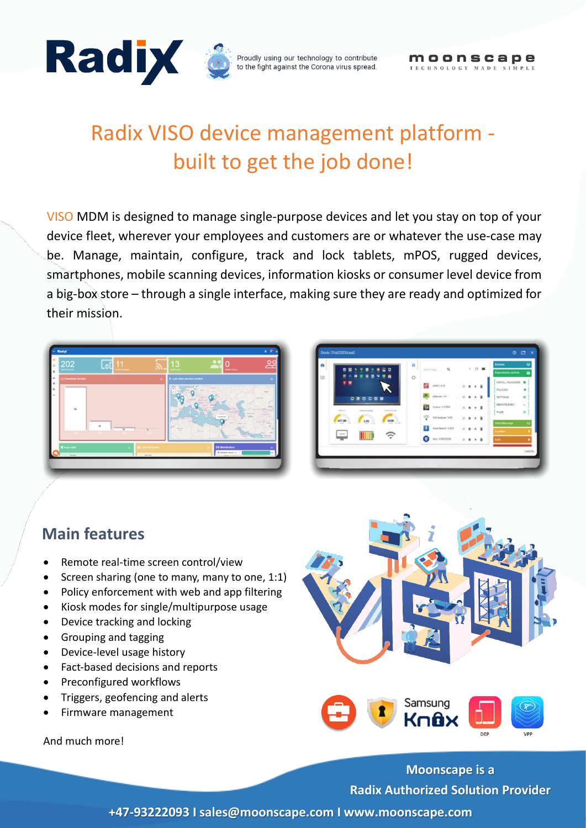

# Radix VISO device management platform built to get the job done!

VISO MDM is designed to manage single-purpose devices and let you stay on top of your device fleet, wherever your employees and customers are or whatever the use-case may be. Manage, maintain, configure, track and lock tablets, mPOS, rugged devices, smartphones, mobile scanning devices, information kiosks or consumer level device from a big-box store – through a single interface, making sure they are ready and optimized for their mission.

| 202<br><b>Total Devices</b>      | ō<br><b>Active Devices</b>               |                                      | 13<br><b>Total Livers</b>                                             | <b>Active Users</b>                                                                                               |                                       |
|----------------------------------|------------------------------------------|--------------------------------------|-----------------------------------------------------------------------|-------------------------------------------------------------------------------------------------------------------|---------------------------------------|
| Connected devices                |                                          | $\bullet$                            | 9 Last seen devices location                                          |                                                                                                                   | $\mathbf{c}$                          |
| 191<br>$-4 + 1$                  | $\overline{\mathbf{u}}$<br>$\frac{1}{2}$ |                                      | <b>Black</b><br><b>HOLD</b><br>$\sim$<br>$rac{1}{2}$<br><b>MARINE</b> | <b>Vicinia</b><br><b>Louise</b> In<br><b>START</b><br>$\frac{1}{2}$<br>Helmitte <sup>1</sup><br>-<br><b>State</b> | $\mathcal{H}^{\rm ext}_{\mathcal{K}}$ |
| <b>E</b> Apps state<br>$-$ -beam | $\bullet$                                | <b>Se Laut commands</b><br>- Section |                                                                       | <b>OS Distribution</b><br><b>O</b> Shuttom devoe (1)<br><b>Contract Contract</b>                                  | $\alpha$<br>- 11                      |

| o<br>Ę<br>e<br>$\circ$<br>INSTALL PACKAGES<br>ø<br>$\mathbf{v}$<br>е<br>nPAY / V.15<br>$\times$<br>$\mathbf{r}$<br>٠<br>٠<br>POLICIES<br>$\epsilon$<br>eService / V.6<br>٠<br><b>SETTINGS</b><br>×<br>٠<br>000008<br>REMOTE EXEC<br>EG<br>X glory / V.37600<br>> 目<br>$\times$ .<br><b>External Mongo</b><br><b>Residents</b><br><b>Internal Harnist</b><br>FILES<br>学<br>WIRANalyzer / V.83<br>> H<br>$\times$<br>٠<br>457.2M<br>302M<br>2.20<br><b>Send Mensage</b><br>MT AV<br>w<br>w<br>œ<br>÷<br>U<br>Voice Search / V210<br>ト 言<br>$\times$<br>$\,$ m | 閑<br>m<br>▭<br>ω | 田 | Search Apps. | $\alpha$ | $\mathcal{Y}$ | $C$ = | Rumote              | ۰                   |
|-------------------------------------------------------------------------------------------------------------------------------------------------------------------------------------------------------------------------------------------------------------------------------------------------------------------------------------------------------------------------------------------------------------------------------------------------------------------------------------------------------------------------------------------------------------|------------------|---|--------------|----------|---------------|-------|---------------------|---------------------|
|                                                                                                                                                                                                                                                                                                                                                                                                                                                                                                                                                             |                  |   |              |          |               |       | Repositores actions | $\ddot{\mathbf{a}}$ |
|                                                                                                                                                                                                                                                                                                                                                                                                                                                                                                                                                             |                  |   |              |          |               |       |                     | ۰                   |
|                                                                                                                                                                                                                                                                                                                                                                                                                                                                                                                                                             |                  |   |              |          |               |       |                     | ٠<br>$\alpha_i^*$   |
|                                                                                                                                                                                                                                                                                                                                                                                                                                                                                                                                                             |                  |   |              |          |               |       |                     | $\mathbb{R}_+$      |
|                                                                                                                                                                                                                                                                                                                                                                                                                                                                                                                                                             |                  |   |              |          |               |       |                     | 仓                   |
|                                                                                                                                                                                                                                                                                                                                                                                                                                                                                                                                                             |                  |   |              |          |               |       |                     |                     |
|                                                                                                                                                                                                                                                                                                                                                                                                                                                                                                                                                             |                  |   |              |          |               |       | Location            |                     |
| o<br>Visa / V.80512030<br>$\times$<br>> H<br>Lock<br>٠                                                                                                                                                                                                                                                                                                                                                                                                                                                                                                      |                  |   |              |          |               |       |                     |                     |

#### **Main features**

- Remote real-time screen control/view
- Screen sharing (one to many, many to one, 1:1)
- Policy enforcement with web and app filtering
- Kiosk modes for single/multipurpose usage
- Device tracking and locking
- Grouping and tagging
- Device-level usage history
- Fact-based decisions and reports
- Preconfigured workflows
- Triggers, geofencing and alerts
- Firmware management

And much more!



**Moonscape is a Radix Authorized Solution Provider**

**+47-93222093 I sales@moonscape.com I www.moonscape.com**